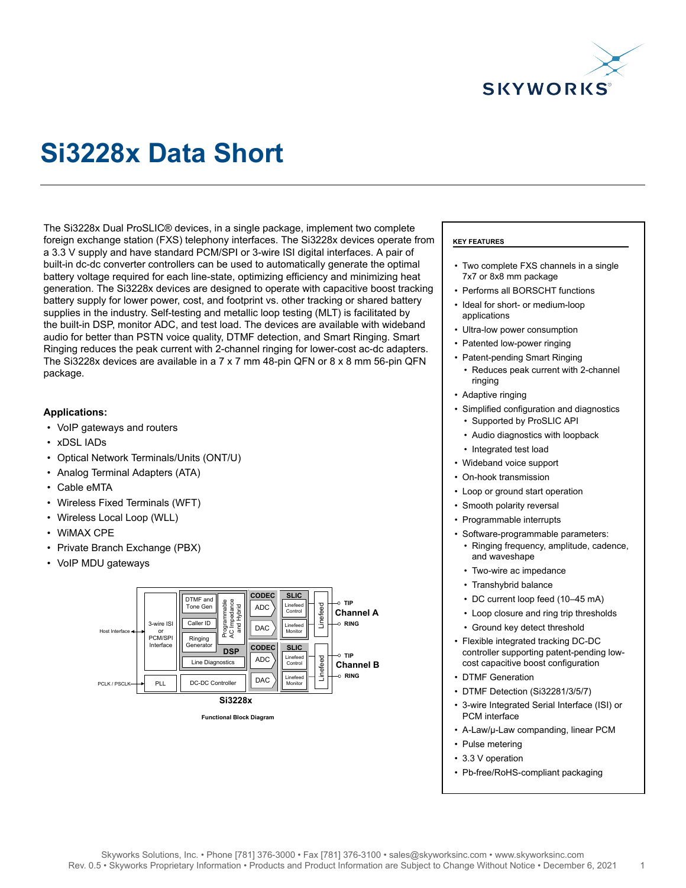

# **Si3228x Data Short**

The Si3228x Dual ProSLIC® devices, in a single package, implement two complete foreign exchange station (FXS) telephony interfaces. The Si3228x devices operate from a 3.3 V supply and have standard PCM/SPI or 3-wire ISI digital interfaces. A pair of built-in dc-dc converter controllers can be used to automatically generate the optimal battery voltage required for each line-state, optimizing efficiency and minimizing heat generation. The Si3228x devices are designed to operate with capacitive boost tracking battery supply for lower power, cost, and footprint vs. other tracking or shared battery supplies in the industry. Self-testing and metallic loop testing (MLT) is facilitated by the built-in DSP, monitor ADC, and test load. The devices are available with wideband audio for better than PSTN voice quality, DTMF detection, and Smart Ringing. Smart Ringing reduces the peak current with 2-channel ringing for lower-cost ac-dc adapters. The Si3228x devices are available in a 7 x 7 mm 48-pin QFN or 8 x 8 mm 56-pin QFN package.

### **Applications:**

- VoIP gateways and routers
- xDSL IADs
- Optical Network Terminals/Units (ONT/U)
- Analog Terminal Adapters (ATA)
- Cable eMTA
- Wireless Fixed Terminals (WFT)
- Wireless Local Loop (WLL)
- WiMAX CPE
- Private Branch Exchange (PBX)
- VoIP MDU gateways



**Functional Block Diagram**

#### **KEY FEATURES**

- Two complete FXS channels in a single 7x7 or 8x8 mm package
- Performs all BORSCHT functions
- Ideal for short- or medium-loop applications
- Ultra-low power consumption
- Patented low-power ringing
- Patent-pending Smart Ringing
	- Reduces peak current with 2-channel ringing
- Adaptive ringing
- Simplified configuration and diagnostics • Supported by ProSLIC API
	- Audio diagnostics with loopback
	- Integrated test load
- Wideband voice support
- On-hook transmission
- Loop or ground start operation
- Smooth polarity reversal
- Programmable interrupts
- Software-programmable parameters: • Ringing frequency, amplitude, cadence,
	- and waveshape • Two-wire ac impedance
	- Transhybrid balance
	- DC current loop feed (10–45 mA)
	- Loop closure and ring trip thresholds
	- Ground key detect threshold
- Flexible integrated tracking DC-DC controller supporting patent-pending lowcost capacitive boost configuration
- DTMF Generation
- DTMF Detection (Si32281/3/5/7)
- 3-wire Integrated Serial Interface (ISI) or PCM interface
- A-Law/µ-Law companding, linear PCM
- Pulse metering
- 3.3 V operation
- Pb-free/RoHS-compliant packaging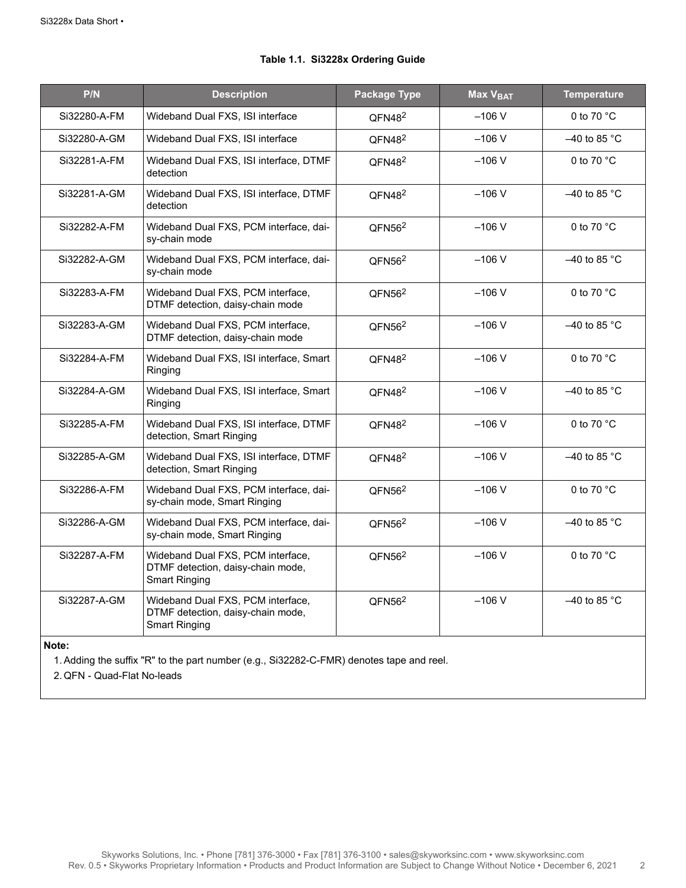| P/N          | <b>Description</b>                                                                             | <b>Package Type</b> | Max V <sub>BAT</sub> | <b>Temperature</b>   |
|--------------|------------------------------------------------------------------------------------------------|---------------------|----------------------|----------------------|
| Si32280-A-FM | Wideband Dual FXS, ISI interface                                                               | QFN48 <sup>2</sup>  | $-106V$              | 0 to 70 °C           |
| Si32280-A-GM | Wideband Dual FXS, ISI interface                                                               | QFN48 <sup>2</sup>  | $-106$ V             | $-40$ to 85 °C       |
| Si32281-A-FM | Wideband Dual FXS, ISI interface, DTMF<br>detection                                            | QFN48 <sup>2</sup>  | $-106V$              | 0 to 70 °C           |
| Si32281-A-GM | Wideband Dual FXS, ISI interface, DTMF<br>detection                                            | QFN48 <sup>2</sup>  | $-106V$              | $-40$ to 85 °C       |
| Si32282-A-FM | Wideband Dual FXS, PCM interface, dai-<br>sy-chain mode                                        | QFN56 <sup>2</sup>  | $-106V$              | 0 to 70 °C           |
| Si32282-A-GM | Wideband Dual FXS, PCM interface, dai-<br>sy-chain mode                                        | QFN56 <sup>2</sup>  | $-106V$              | $-40$ to 85 °C       |
| Si32283-A-FM | Wideband Dual FXS, PCM interface,<br>DTMF detection, daisy-chain mode                          | QFN56 <sup>2</sup>  | $-106V$              | 0 to 70 $^{\circ}$ C |
| Si32283-A-GM | Wideband Dual FXS, PCM interface,<br>DTMF detection, daisy-chain mode                          | QFN56 <sup>2</sup>  | $-106V$              | $-40$ to 85 °C       |
| Si32284-A-FM | Wideband Dual FXS, ISI interface, Smart<br>Ringing                                             | QFN48 <sup>2</sup>  | $-106V$              | 0 to 70 °C           |
| Si32284-A-GM | Wideband Dual FXS, ISI interface, Smart<br>Ringing                                             | QFN48 <sup>2</sup>  | $-106V$              | $-40$ to 85 °C       |
| Si32285-A-FM | Wideband Dual FXS, ISI interface, DTMF<br>detection, Smart Ringing                             | QFN48 <sup>2</sup>  | $-106V$              | 0 to 70 $^{\circ}$ C |
| Si32285-A-GM | Wideband Dual FXS, ISI interface, DTMF<br>detection, Smart Ringing                             | QFN48 <sup>2</sup>  | $-106V$              | $-40$ to 85 °C       |
| Si32286-A-FM | Wideband Dual FXS, PCM interface, dai-<br>sy-chain mode, Smart Ringing                         | QFN56 <sup>2</sup>  | $-106V$              | 0 to 70 °C           |
| Si32286-A-GM | Wideband Dual FXS, PCM interface, dai-<br>sy-chain mode, Smart Ringing                         | QFN56 <sup>2</sup>  | $-106V$              | $-40$ to 85 °C       |
| Si32287-A-FM | Wideband Dual FXS, PCM interface,<br>DTMF detection, daisy-chain mode,<br><b>Smart Ringing</b> | QFN56 <sup>2</sup>  | $-106V$              | 0 to 70 $^{\circ}$ C |
| Si32287-A-GM | Wideband Dual FXS, PCM interface,<br>DTMF detection, daisy-chain mode,<br><b>Smart Ringing</b> | QFN56 <sup>2</sup>  | $-106V$              | $-40$ to 85 °C       |

## **Table 1.1. Si3228x Ordering Guide**

#### **Note:**

1. Adding the suffix "R" to the part number (e.g., Si32282-C-FMR) denotes tape and reel.

2. QFN - Quad-Flat No-leads